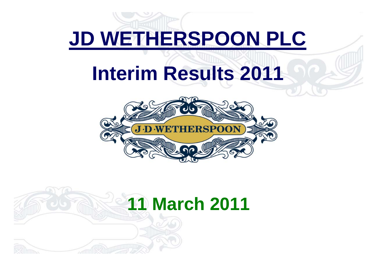# **JD WETHERSPOON PLC**

# **Interim Results 2011**



# **11 March 2011**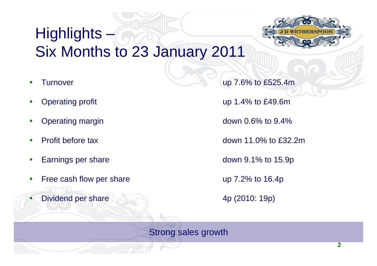## Highlights  $-$ Six Months to 23 January 2011

- O
- O
- O
- O
- O
- Ő Free cash flow per share up 7.2% to 16.4p
- $\bullet$ Dividend per share 2000 and 4p (2010: 19p)

Turnover up 7.6% to £525.4m

Operating profit and the contract of the UP 1.4% to £49.6m

Operating margin down 0.6% to 9.4%

Profit before tax down 11.0% to £32.2m

Earnings per share down 9.1% to 15.9p

Strong sales growth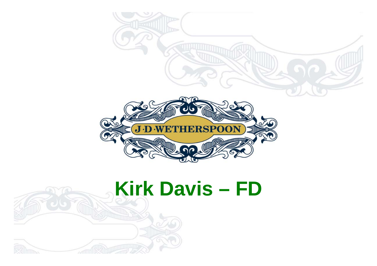

# **Kirk Davis – FD**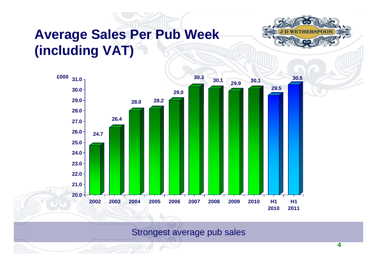### **Average Sales Per Pub Week (including VAT)**





Strongest average pub sales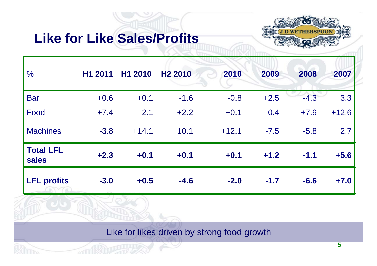### **Like for Like Sales/Profits**



| $\frac{0}{0}$             | H1 2011 | H1 2010 | H <sub>2</sub> 2010 | 2010    | 2009   | 2008   | 2007    |
|---------------------------|---------|---------|---------------------|---------|--------|--------|---------|
| <b>Bar</b>                | $+0.6$  | $+0.1$  | $-1.6$              | $-0.8$  | $+2.5$ | $-4.3$ | $+3.3$  |
| Food                      | $+7.4$  | $-2.1$  | $+2.2$              | $+0.1$  | $-0.4$ | $+7.9$ | $+12.6$ |
| <b>Machines</b>           | $-3.8$  | $+14.1$ | $+10.1$             | $+12.1$ | $-7.5$ | $-5.8$ | $+2.7$  |
| <b>Total LFL</b><br>sales | $+2.3$  | $+0.1$  | $+0.1$              | $+0.1$  | $+1.2$ | $-1.1$ | $+5.6$  |
| <b>LFL profits</b>        | $-3.0$  | $+0.5$  | $-4.6$              | $-2.0$  | $-1.7$ | $-6.6$ | $+7.0$  |

Like for likes driven by strong food growth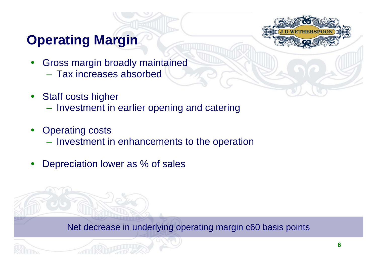### **Operating Margin**



- $\bullet$  Gross margin broadly maintained – Tax increases absorbed
- $\bullet$  Staff costs higher
	- Investment in earlier opening and catering
- $\bullet$  Operating costs
	- Investment in enhancements to the operation
- $\bullet$ Depreciation lower as % of sales

Net decrease in underlying operating margin c60 basis points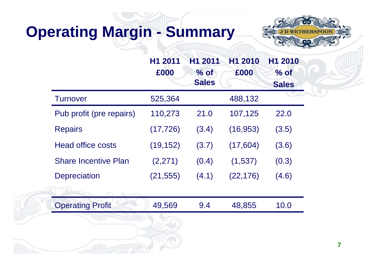## **Operating Margin - Summary**



|                             | H1 2011<br>£000 | H1 2011<br>$%$ of<br><b>Sales</b> | H1 2010<br>£000 | H1 2010<br>$%$ of<br><b>Sales</b> |
|-----------------------------|-----------------|-----------------------------------|-----------------|-----------------------------------|
| <b>Turnover</b>             | 525,364         |                                   | 488,132         |                                   |
| Pub profit (pre repairs)    | 110,273         | 21.0                              | 107,125         | 22.0                              |
| <b>Repairs</b>              | (17, 726)       | (3.4)                             | (16, 953)       | (3.5)                             |
| <b>Head office costs</b>    | (19, 152)       | (3.7)                             | (17,604)        | (3.6)                             |
| <b>Share Incentive Plan</b> | (2,271)         | (0.4)                             | (1,537)         | (0.3)                             |
| <b>Depreciation</b>         | (21, 555)       | (4.1)                             | (22, 176)       | (4.6)                             |
|                             |                 |                                   |                 |                                   |
| <b>Operating Profit</b>     | 49,569          | 9.4                               | 48,855          | 10.0                              |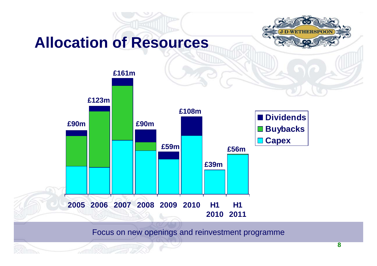## **Allocation of Resources**





Focus on new openings and reinvestment programme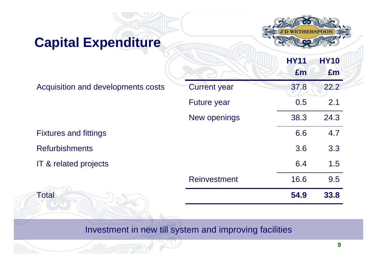### **Capital Expenditure**



|                                    |                     | <b>HY11</b><br>£m | <b>HY10</b><br>£m |
|------------------------------------|---------------------|-------------------|-------------------|
| Acquisition and developments costs | <b>Current year</b> | 37.8              | 22.2              |
|                                    | <b>Future year</b>  | 0.5               | 2.1               |
|                                    | New openings        | 38.3              | 24.3              |
| <b>Fixtures and fittings</b>       |                     | 6.6               | 4.7               |
| <b>Refurbishments</b>              |                     | 3.6               | 3.3               |
| IT & related projects              |                     | 6.4               | 1.5               |
|                                    | <b>Reinvestment</b> | 16.6              | 9.5               |
| <b>Total</b>                       |                     | 54.9              | 33.8              |

#### Investment in new till system and improving facilities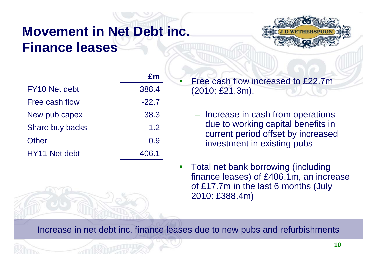### **Movement in Net Debt inc. Finance leases**



|                           | £m      |
|---------------------------|---------|
| FY <sub>10</sub> Net debt | 388.4   |
| Free cash flow            | $-22.7$ |
| New pub capex             | 38.3    |
| Share buy backs           | 1.2     |
| Other                     | 0.9     |
| HY11 Net debt             | 406.1   |

 Free cash flow increased to £22.7m (2010: £21.3m).

- Increase in cash from operations due to working capital benefits in current period offset by increased investment in existing pubs
- $\bullet$  Total net bank borrowing (including finance leases) of £406.1m, an increase of £17.7m in the last 6 months (July 2010: £388.4m)

Increase in net debt inc. finance leases due to new pubs and refurbishments

 $\bullet$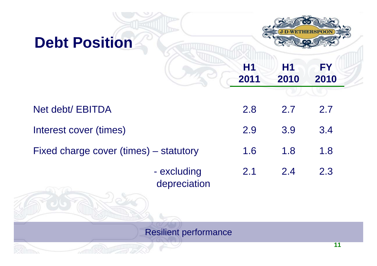### **Debt Position**



**H1 2011 H1 2010 FY 2010**

| Net debt/ EBITDA                       | <b>2.8</b> | 2.7 | 2.7 |
|----------------------------------------|------------|-----|-----|
| Interest cover (times)                 | 2.9        | 3.9 | 3.4 |
| Fixed charge cover (times) – statutory | 1.6        | 1.8 | 1.8 |
| - excluding                            | 2.1        | 2.4 | 2.3 |

depreciation

Resilient performance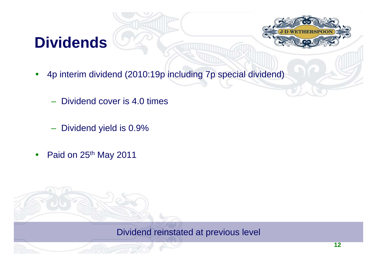## **Dividends**



- $\bullet$  4p interim dividend (2010:19p including 7p special dividend)
	- Dividend cover is 4.0 times
	- Dividend yield is 0.9%
- $\bullet$ Paid on 25<sup>th</sup> May 2011

Dividend reinstated at previous level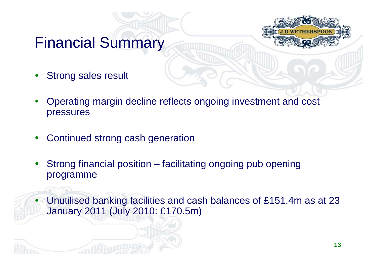### Financial Summary

- $\bullet$ Strong sales result
- $\bullet$  Operating margin decline reflects ongoing investment and cost pressures
- $\bullet$ Continued strong cash generation
- $\bullet$  Strong financial position – facilitating ongoing pub opening programme

 $\bullet$  Unutilised banking facilities and cash balances of £151.4m as at 23 January 2011 (July 2010: £170.5m)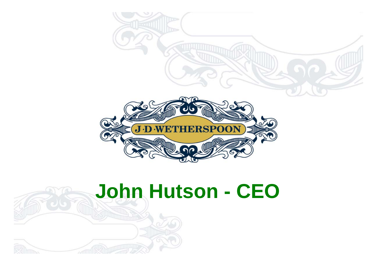

# **John Hutson - CEO**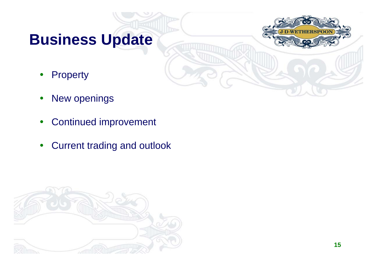## **Business Update**

**HERSPOC** 

- $\bullet$ **Property**
- $\bullet$ New openings
- $\bullet$ Continued improvement
- $\bullet$ Current trading and outlook

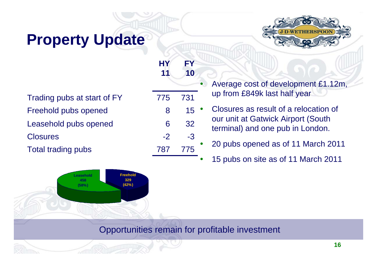## **Property Update**

Trading pubs at start of FY 775 731 Freehold pubs opened Leasehold pubs opened Closures -2

> **Leasehold 458(58%)**

**Freehold 329 (42%)**

Total trading pubs 787 775





| • Average cost of development £1.12m, |
|---------------------------------------|
| up from £849k last half year          |

 Closures as result of a relocation of our unit at Gatwick Airport (South terminal) and one pub in London.

20 pubs opened as of 11 March 2011

O 15 pubs on site as of 11 March 2011

#### Opportunities remain for profitable investment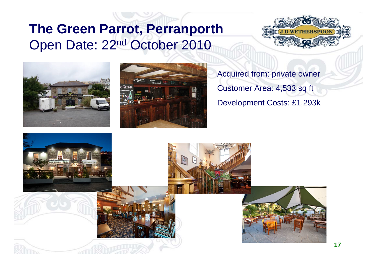#### **The Green Parrot, Perranporth**  Open Date: 22nd October 2010







Acquired from: private owner Customer Area: 4,533 sq ft Development Costs: £1,293k

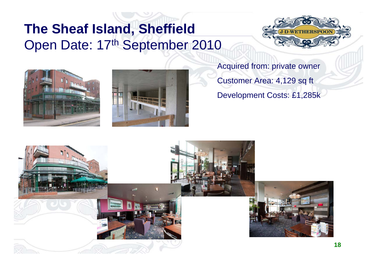### **The Sheaf Island, Sheffield**  Open Date: 17th September 2010







Acquired from: private owner Customer Area: 4,129 sq ft Development Costs: £1,285k

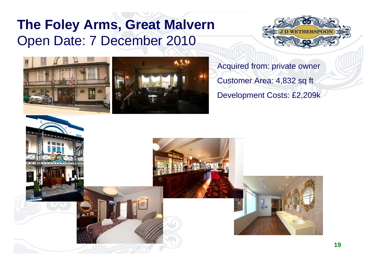### **The Foley Arms, Great Malvern**  Open Date: 7 December 2010







Acquired from: private owner Customer Area: 4,832 sq ft Development Costs: £2,209k

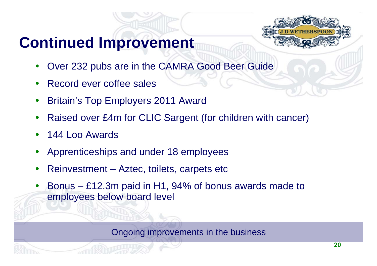## **Continued Improvement**



- $\bullet$ Over 232 pubs are in the CAMRA Good Beer Guide
- $\bullet$ Record ever coffee sales
- $\bullet$ Britain's Top Employers 2011 Award
- $\bullet$ Raised over £4m for CLIC Sargent (for children with cancer)
- $\bullet$ 144 Loo Awards
- $\bullet$ Apprenticeships and under 18 employees
- $\bullet$ Reinvestment – Aztec, toilets, carpets etc
- $\bullet$  Bonus – £12.3m paid in H1, 94% of bonus awards made to employees below board level

Ongoing improvements in the business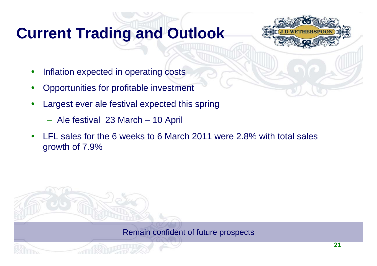## **Current Trading and Outlook**



- $\bullet$ Inflation expected in operating costs
- $\bullet$ Opportunities for profitable investment
- $\bullet$  Largest ever ale festival expected this spring
	- Ale festival 23 March 10 April
- $\bullet$  LFL sales for the 6 weeks to 6 March 2011 were 2.8% with total sales growth of 7.9%

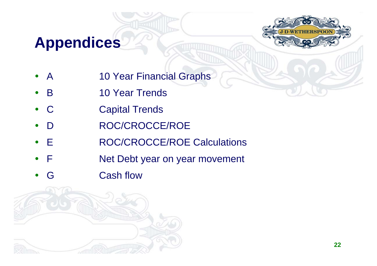## **Appendices**



- $\bullet$ A 10 Year Financial Graphs
- $\bullet$ • B 10 Year Trends
- $\bullet$ C Capital Trends
- $\bullet$ D ROC/CROCCE/ROE
- $\bullet$ • E ROC/CROCCE/ROE Calculations
- $\bullet$ F Net Debt year on year movement
- $\bullet$ G Cash flow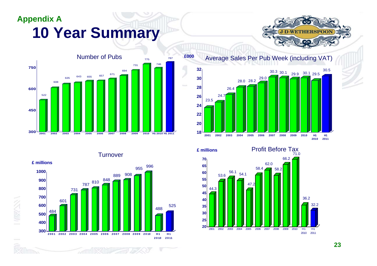#### **Appendix A 10 Year Summary**





Turnover



Average Sales Per Pub Week (including VAT) **£000**



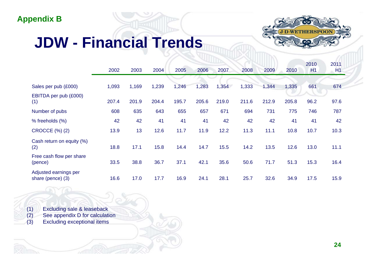#### **Appendix B**

## **JDW - Financial Trends**



|                                            | 2002  | 2003  | 2004  | 2005  | 2006  | 2007  | 2008  | 2009  | 2010  | 2010<br>H1 | 2011<br>H1 |
|--------------------------------------------|-------|-------|-------|-------|-------|-------|-------|-------|-------|------------|------------|
| Sales per pub (£000)                       | 1,093 | 1,169 | 1,239 | 1,246 | 1,283 | 1,354 | 1,333 | 1,344 | 1,335 | 661        | 674        |
| EBITDA per pub (£000)<br>(1)               | 207.4 | 201.9 | 204.4 | 195.7 | 205.6 | 219.0 | 211.6 | 212.9 | 205.8 | 96.2       | 97.6       |
| Number of pubs                             | 608   | 635   | 643   | 655   | 657   | 671   | 694   | 731   | 775   | 746        | 787        |
| % freeholds (%)                            | 42    | 42    | 41    | 41    | 41    | 42    | 42    | 42    | 41    | 41         | 42         |
| <b>CROCCE (%) (2)</b>                      | 13.9  | 13    | 12.6  | 11.7  | 11.9  | 12.2  | 11.3  | 11.1  | 10.8  | 10.7       | 10.3       |
| Cash return on equity (%)<br>(2)           | 18.8  | 17.1  | 15.8  | 14.4  | 14.7  | 15.5  | 14.2  | 13.5  | 12.6  | 13.0       | 11.1       |
| Free cash flow per share<br>(pence)        | 33.5  | 38.8  | 36.7  | 37.1  | 42.1  | 35.6  | 50.6  | 71.7  | 51.3  | 15.3       | 16.4       |
| Adjusted earnings per<br>share (pence) (3) | 16.6  | 17.0  | 17.7  | 16.9  | 24.1  | 28.1  | 25.7  | 32.6  | 34.9  | 17.5       | 15.9       |

(1) Excluding sale & leaseback (2) See appendix D for calculation (3) Excluding exceptional items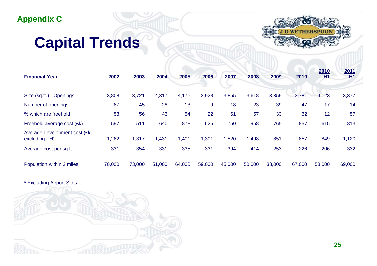#### **Appendix C**

## **Capital Trends**



| <b>Financial Year</b>                          | 2002   | 2003   | 2004   | 2005   | 2006   | 2007   | 2008   | 2009   | 2010   | 2010<br><u>H1</u> | 2011<br>H1 |
|------------------------------------------------|--------|--------|--------|--------|--------|--------|--------|--------|--------|-------------------|------------|
| Size (sq.ft.) - Openings                       | 3,808  | 3,721  | 4,317  | 4,176  | 3,928  | 3,855  | 3,618  | 3,359  | 3,781  | 4,123             | 3,377      |
| Number of openings                             | 87     | 45     | 28     | 13     | 9      | 18     | 23     | 39     | 47     | 17                | 14         |
| % which are freehold                           | 53     | 56     | 43     | 54     | 22     | 61     | 57     | 33     | 32     | 12                | 57         |
| Freehold average cost (£k)                     | 597    | 511    | 640    | 873    | 625    | 750    | 958    | 765    | 857    | 615               | 813        |
| Average development cost (£k,<br>excluding FH) | 1,262  | 1,317  | 1,431  | 1,401  | 1,301  | 1,520  | 1,498  | 851    | 857    | 849               | 1,120      |
| Average cost per sq.ft.                        | 331    | 354    | 331    | 335    | 331    | 394    | 414    | 253    | 226    | 206               | 332        |
| Population within 2 miles                      | 70,000 | 73,000 | 51,000 | 64,000 | 59,000 | 45,000 | 50,000 | 38,000 | 67,000 | 58,000            | 69,000     |

\* Excluding Airport Sites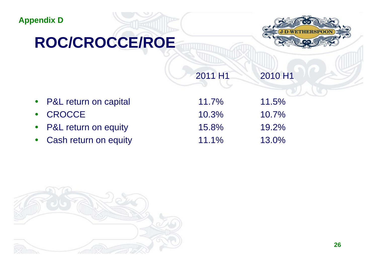#### **Appendix D**

## **ROC/CROCCE/ROE**



| 2011 H1 | 2010 H1 |
|---------|---------|
|         |         |

| • P&L return on capital | $11.7\%$ | 11.5%    |
|-------------------------|----------|----------|
| • CROCCE                | 10.3%    | $10.7\%$ |
| • P&L return on equity  | 15.8%    | 19.2%    |
| • Cash return on equity | $11.1\%$ | 13.0%    |

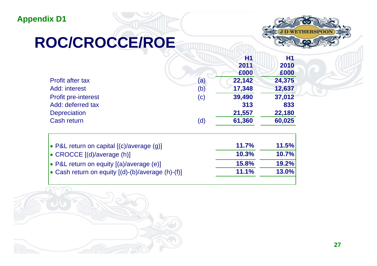#### **Appendix D1**

## **ROC/CROCCE/ROE**



**H1** 

|                            |          | Η1     | Η1     |
|----------------------------|----------|--------|--------|
|                            |          | 2011   | 2010   |
|                            |          | £000   | £000   |
| Profit after tax           | $\sf(a)$ | 22,142 | 24,375 |
| Add: interest              | (b)      | 17,348 | 12,637 |
| <b>Profit pre-interest</b> | (c)      | 39,490 | 37,012 |
| Add: deferred tax          |          | 313    | 833    |
| <b>Depreciation</b>        |          | 21,557 | 22,180 |
| Cash return                | (d)      | 61,360 | 60,025 |
|                            |          |        |        |

|              | <b>11.5%</b> |
|--------------|--------------|
| 10.3%        | 10.7%        |
| <b>15.8%</b> | 19.2%        |
| 11.1%        | 13.0%        |
|              | 11.7%        |

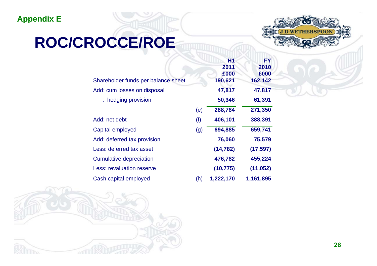#### **Appendix E**



## **ROC/CROCCE/ROE**

|     | Η1        | FY        |
|-----|-----------|-----------|
|     | 2011      | 2010      |
|     | £000      | £000      |
|     | 190,621   | 162,142   |
|     | 47,817    | 47,817    |
|     | 50,346    | 61,391    |
| (e) | 288,784   | 271,350   |
| (f) | 406,101   | 388,391   |
| (g) | 694,885   | 659,741   |
|     | 76,060    | 75,579    |
|     | (14, 782) | (17, 597) |
|     | 476,782   | 455,224   |
|     | (10, 775) | (11, 052) |
| (h) | 1,222,170 | 1,161,895 |
|     |           |           |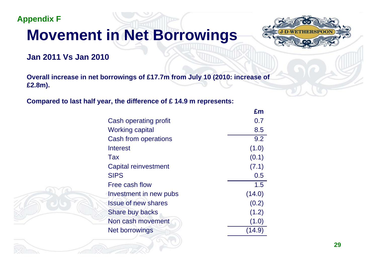**Appendix F**

## **Movement in Net Borrowings**



#### **Jan 2011 Vs Jan 2010**

**Overall increase in net borrowings of £17.7m from July 10 (2010: increase of £2.8m).** 

**Compared to last half year, the difference of £ 14.9 m represents:**

|                            | £m     |
|----------------------------|--------|
| Cash operating profit      | 0.7    |
| <b>Working capital</b>     | 8.5    |
| Cash from operations       | 9.2    |
| Interest                   | (1.0)  |
| Tax                        | (0.1)  |
| Capital reinvestment       | (7.1)  |
| <b>SIPS</b>                | 0.5    |
| Free cash flow             | 1.5    |
| Investment in new pubs     | (14.0) |
| <b>Issue of new shares</b> | (0.2)  |
| Share buy backs            | (1.2)  |
| Non cash movement          | (1.0)  |
| Net borrowings             |        |
|                            |        |